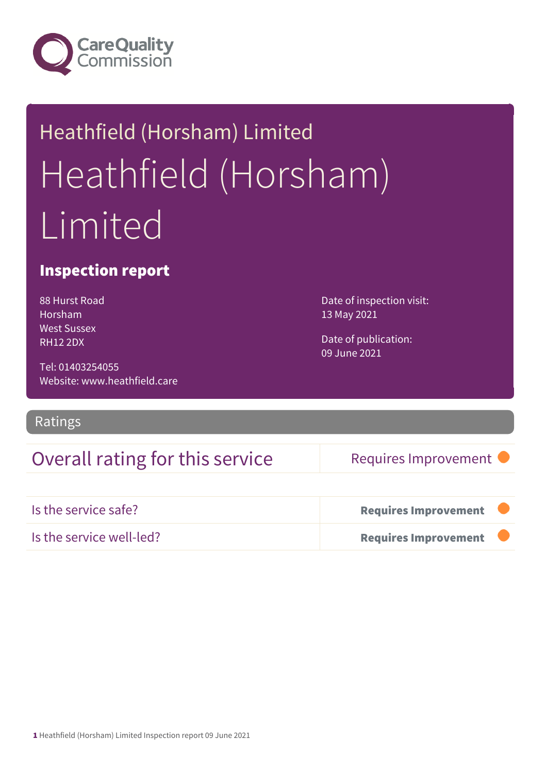

# Heathfield (Horsham) Limited Heathfield (Horsham) Limited

## Inspection report

88 Hurst Road Horsham West Sussex RH12 2DX

Tel: 01403254055 Website: www.heathfield.care

Ratings

## Overall rating for this service Requires Improvement

Date of inspection visit:

Date of publication:

13 May 2021

09 June 2021

| Is the service safe?     | <b>Requires Improvement</b> |  |
|--------------------------|-----------------------------|--|
| Is the service well-led? | <b>Requires Improvement</b> |  |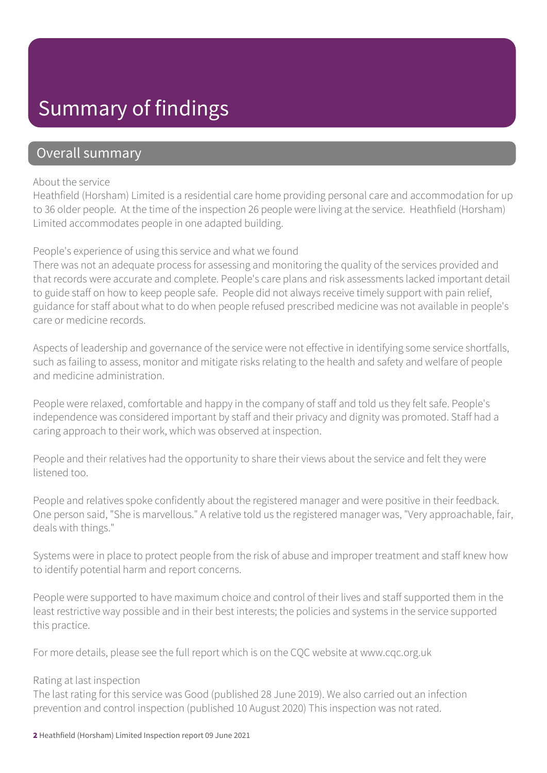# Summary of findings

## Overall summary

### About the service

Heathfield (Horsham) Limited is a residential care home providing personal care and accommodation for up to 36 older people. At the time of the inspection 26 people were living at the service. Heathfield (Horsham) Limited accommodates people in one adapted building.

## People's experience of using this service and what we found

There was not an adequate process for assessing and monitoring the quality of the services provided and that records were accurate and complete. People's care plans and risk assessments lacked important detail to guide staff on how to keep people safe. People did not always receive timely support with pain relief, guidance for staff about what to do when people refused prescribed medicine was not available in people's care or medicine records.

Aspects of leadership and governance of the service were not effective in identifying some service shortfalls, such as failing to assess, monitor and mitigate risks relating to the health and safety and welfare of people and medicine administration.

People were relaxed, comfortable and happy in the company of staff and told us they felt safe. People's independence was considered important by staff and their privacy and dignity was promoted. Staff had a caring approach to their work, which was observed at inspection.

People and their relatives had the opportunity to share their views about the service and felt they were listened too.

People and relatives spoke confidently about the registered manager and were positive in their feedback. One person said, "She is marvellous." A relative told us the registered manager was, "Very approachable, fair, deals with things."

Systems were in place to protect people from the risk of abuse and improper treatment and staff knew how to identify potential harm and report concerns.

People were supported to have maximum choice and control of their lives and staff supported them in the least restrictive way possible and in their best interests; the policies and systems in the service supported this practice.

For more details, please see the full report which is on the CQC website at www.cqc.org.uk

## Rating at last inspection

The last rating for this service was Good (published 28 June 2019). We also carried out an infection prevention and control inspection (published 10 August 2020) This inspection was not rated.

2 Heathfield (Horsham) Limited Inspection report 09 June 2021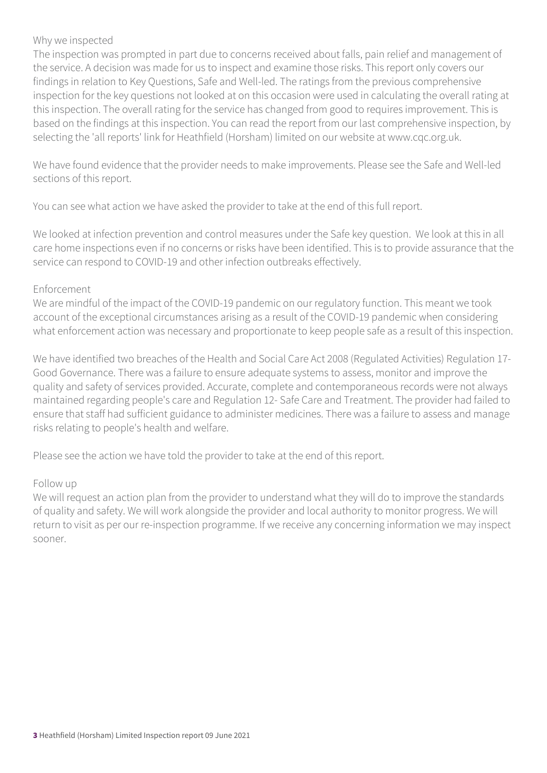## Why we inspected

The inspection was prompted in part due to concerns received about falls, pain relief and management of the service. A decision was made for us to inspect and examine those risks. This report only covers our findings in relation to Key Questions, Safe and Well-led. The ratings from the previous comprehensive inspection for the key questions not looked at on this occasion were used in calculating the overall rating at this inspection. The overall rating for the service has changed from good to requires improvement. This is based on the findings at this inspection. You can read the report from our last comprehensive inspection, by selecting the 'all reports' link for Heathfield (Horsham) limited on our website at www.cqc.org.uk.

We have found evidence that the provider needs to make improvements. Please see the Safe and Well-led sections of this report.

You can see what action we have asked the provider to take at the end of this full report.

We looked at infection prevention and control measures under the Safe key question. We look at this in all care home inspections even if no concerns or risks have been identified. This is to provide assurance that the service can respond to COVID-19 and other infection outbreaks effectively.

## Enforcement

We are mindful of the impact of the COVID-19 pandemic on our regulatory function. This meant we took account of the exceptional circumstances arising as a result of the COVID-19 pandemic when considering what enforcement action was necessary and proportionate to keep people safe as a result of this inspection.

We have identified two breaches of the Health and Social Care Act 2008 (Regulated Activities) Regulation 17- Good Governance. There was a failure to ensure adequate systems to assess, monitor and improve the quality and safety of services provided. Accurate, complete and contemporaneous records were not always maintained regarding people's care and Regulation 12- Safe Care and Treatment. The provider had failed to ensure that staff had sufficient guidance to administer medicines. There was a failure to assess and manage risks relating to people's health and welfare.

Please see the action we have told the provider to take at the end of this report.

#### Follow up

We will request an action plan from the provider to understand what they will do to improve the standards of quality and safety. We will work alongside the provider and local authority to monitor progress. We will return to visit as per our re-inspection programme. If we receive any concerning information we may inspect sooner.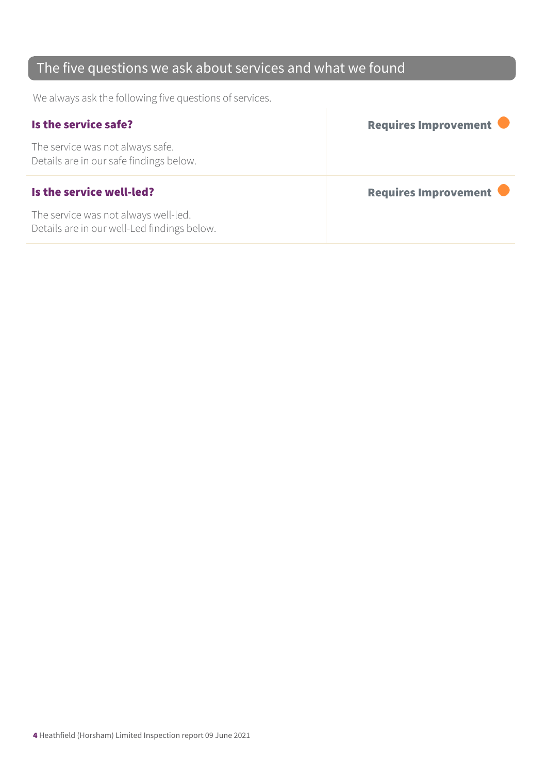## The five questions we ask about services and what we found

We always ask the following five questions of services.

| Is the service safe?                                                        | <b>Requires Improvement</b> |
|-----------------------------------------------------------------------------|-----------------------------|
| The service was not always safe.<br>Details are in our safe findings below. |                             |
|                                                                             |                             |
| Is the service well-led?                                                    | Requires Improvement        |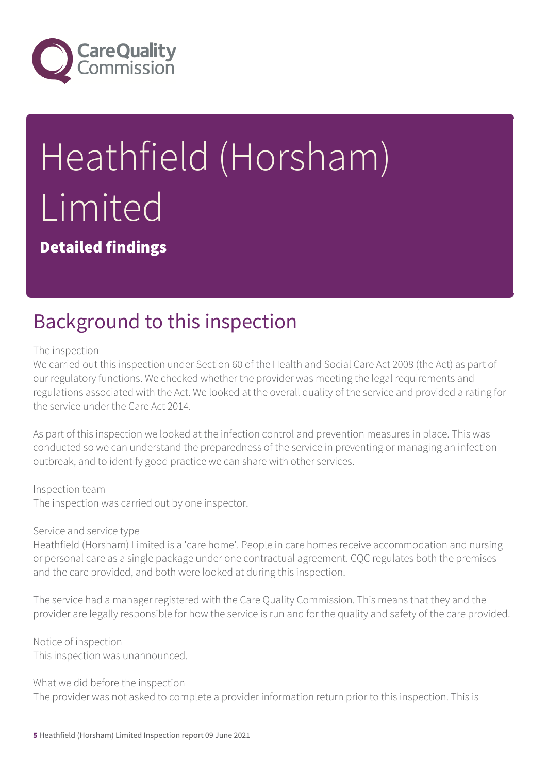

# Heathfield (Horsham) Limited

Detailed findings

# Background to this inspection

The inspection

We carried out this inspection under Section 60 of the Health and Social Care Act 2008 (the Act) as part of our regulatory functions. We checked whether the provider was meeting the legal requirements and regulations associated with the Act. We looked at the overall quality of the service and provided a rating for the service under the Care Act 2014.

As part of this inspection we looked at the infection control and prevention measures in place. This was conducted so we can understand the preparedness of the service in preventing or managing an infection outbreak, and to identify good practice we can share with other services.

Inspection team

The inspection was carried out by one inspector.

Service and service type

Heathfield (Horsham) Limited is a 'care home'. People in care homes receive accommodation and nursing or personal care as a single package under one contractual agreement. CQC regulates both the premises and the care provided, and both were looked at during this inspection.

The service had a manager registered with the Care Quality Commission. This means that they and the provider are legally responsible for how the service is run and for the quality and safety of the care provided.

Notice of inspection This inspection was unannounced.

What we did before the inspection The provider was not asked to complete a provider information return prior to this inspection. This is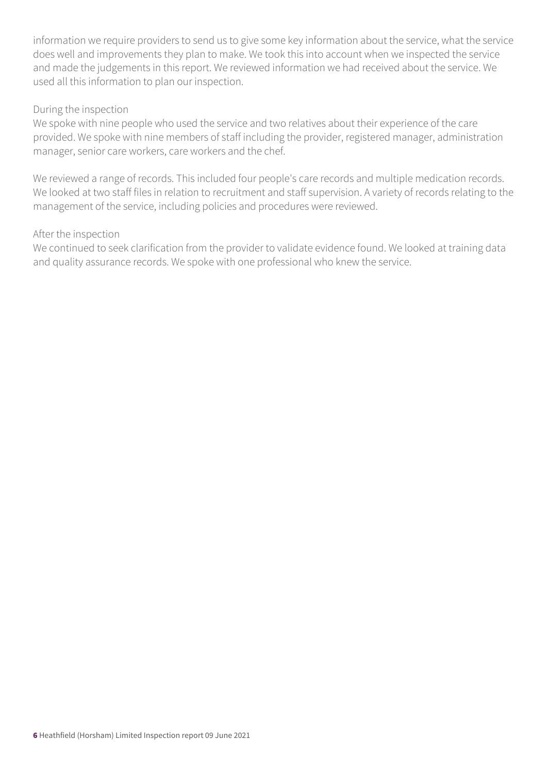information we require providers to send us to give some key information about the service, what the service does well and improvements they plan to make. We took this into account when we inspected the service and made the judgements in this report. We reviewed information we had received about the service. We used all this information to plan our inspection.

### During the inspection

We spoke with nine people who used the service and two relatives about their experience of the care provided. We spoke with nine members of staff including the provider, registered manager, administration manager, senior care workers, care workers and the chef.

We reviewed a range of records. This included four people's care records and multiple medication records. We looked at two staff files in relation to recruitment and staff supervision. A variety of records relating to the management of the service, including policies and procedures were reviewed.

### After the inspection

We continued to seek clarification from the provider to validate evidence found. We looked at training data and quality assurance records. We spoke with one professional who knew the service.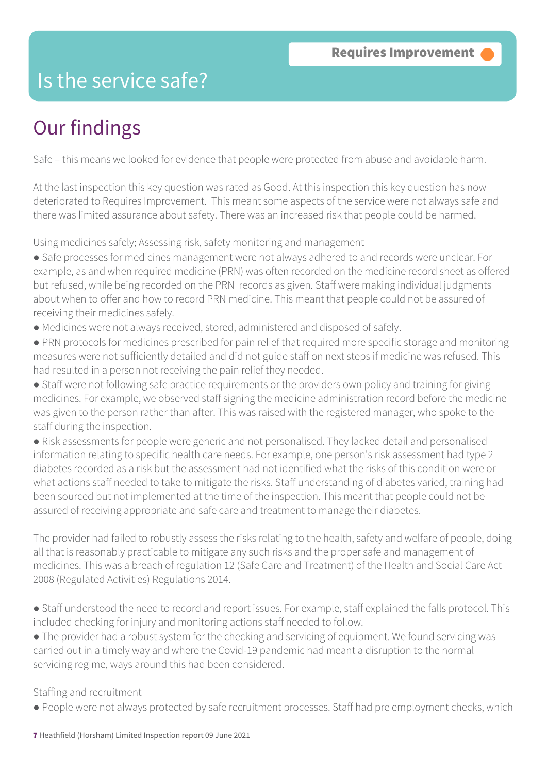# Is the service safe?

# Our findings

Safe – this means we looked for evidence that people were protected from abuse and avoidable harm.

At the last inspection this key question was rated as Good. At this inspection this key question has now deteriorated to Requires Improvement. This meant some aspects of the service were not always safe and there was limited assurance about safety. There was an increased risk that people could be harmed.

Using medicines safely; Assessing risk, safety monitoring and management

- Safe processes for medicines management were not always adhered to and records were unclear. For example, as and when required medicine (PRN) was often recorded on the medicine record sheet as offered but refused, while being recorded on the PRN records as given. Staff were making individual judgments about when to offer and how to record PRN medicine. This meant that people could not be assured of receiving their medicines safely.
- Medicines were not always received, stored, administered and disposed of safely.
- PRN protocols for medicines prescribed for pain relief that required more specific storage and monitoring measures were not sufficiently detailed and did not guide staff on next steps if medicine was refused. This had resulted in a person not receiving the pain relief they needed.
- Staff were not following safe practice requirements or the providers own policy and training for giving medicines. For example, we observed staff signing the medicine administration record before the medicine was given to the person rather than after. This was raised with the registered manager, who spoke to the staff during the inspection.
- Risk assessments for people were generic and not personalised. They lacked detail and personalised information relating to specific health care needs. For example, one person's risk assessment had type 2 diabetes recorded as a risk but the assessment had not identified what the risks of this condition were or what actions staff needed to take to mitigate the risks. Staff understanding of diabetes varied, training had been sourced but not implemented at the time of the inspection. This meant that people could not be assured of receiving appropriate and safe care and treatment to manage their diabetes.

The provider had failed to robustly assess the risks relating to the health, safety and welfare of people, doing all that is reasonably practicable to mitigate any such risks and the proper safe and management of medicines. This was a breach of regulation 12 (Safe Care and Treatment) of the Health and Social Care Act 2008 (Regulated Activities) Regulations 2014.

- Staff understood the need to record and report issues. For example, staff explained the falls protocol. This included checking for injury and monitoring actions staff needed to follow.
- The provider had a robust system for the checking and servicing of equipment. We found servicing was carried out in a timely way and where the Covid-19 pandemic had meant a disruption to the normal servicing regime, ways around this had been considered.

## Staffing and recruitment

● People were not always protected by safe recruitment processes. Staff had pre employment checks, which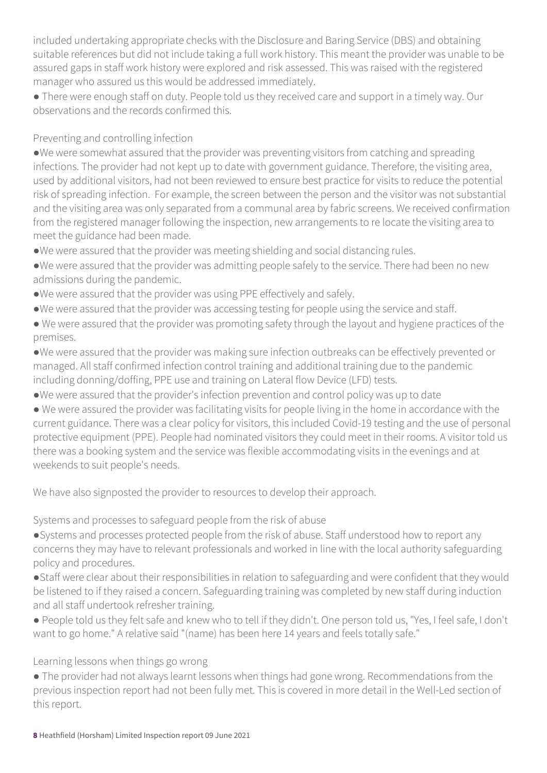included undertaking appropriate checks with the Disclosure and Baring Service (DBS) and obtaining suitable references but did not include taking a full work history. This meant the provider was unable to be assured gaps in staff work history were explored and risk assessed. This was raised with the registered manager who assured us this would be addressed immediately.

● There were enough staff on duty. People told us they received care and support in a timely way. Our observations and the records confirmed this.

Preventing and controlling infection

●We were somewhat assured that the provider was preventing visitors from catching and spreading infections. The provider had not kept up to date with government guidance. Therefore, the visiting area, used by additional visitors, had not been reviewed to ensure best practice for visits to reduce the potential risk of spreading infection. For example, the screen between the person and the visitor was not substantial and the visiting area was only separated from a communal area by fabric screens. We received confirmation from the registered manager following the inspection, new arrangements to re locate the visiting area to meet the guidance had been made.

●We were assured that the provider was meeting shielding and social distancing rules.

- ●We were assured that the provider was admitting people safely to the service. There had been no new admissions during the pandemic.
- ●We were assured that the provider was using PPE effectively and safely.
- ●We were assured that the provider was accessing testing for people using the service and staff.
- We were assured that the provider was promoting safety through the layout and hygiene practices of the premises.

●We were assured that the provider was making sure infection outbreaks can be effectively prevented or managed. All staff confirmed infection control training and additional training due to the pandemic including donning/doffing, PPE use and training on Lateral flow Device (LFD) tests.

●We were assured that the provider's infection prevention and control policy was up to date

● We were assured the provider was facilitating visits for people living in the home in accordance with the current guidance. There was a clear policy for visitors, this included Covid-19 testing and the use of personal protective equipment (PPE). People had nominated visitors they could meet in their rooms. A visitor told us there was a booking system and the service was flexible accommodating visits in the evenings and at weekends to suit people's needs.

We have also signposted the provider to resources to develop their approach.

Systems and processes to safeguard people from the risk of abuse

●Systems and processes protected people from the risk of abuse. Staff understood how to report any concerns they may have to relevant professionals and worked in line with the local authority safeguarding policy and procedures.

●Staff were clear about their responsibilities in relation to safeguarding and were confident that they would be listened to if they raised a concern. Safeguarding training was completed by new staff during induction and all staff undertook refresher training.

● People told us they felt safe and knew who to tell if they didn't. One person told us, "Yes, I feel safe, I don't want to go home." A relative said "(name) has been here 14 years and feels totally safe."

Learning lessons when things go wrong

● The provider had not always learnt lessons when things had gone wrong. Recommendations from the previous inspection report had not been fully met. This is covered in more detail in the Well-Led section of this report.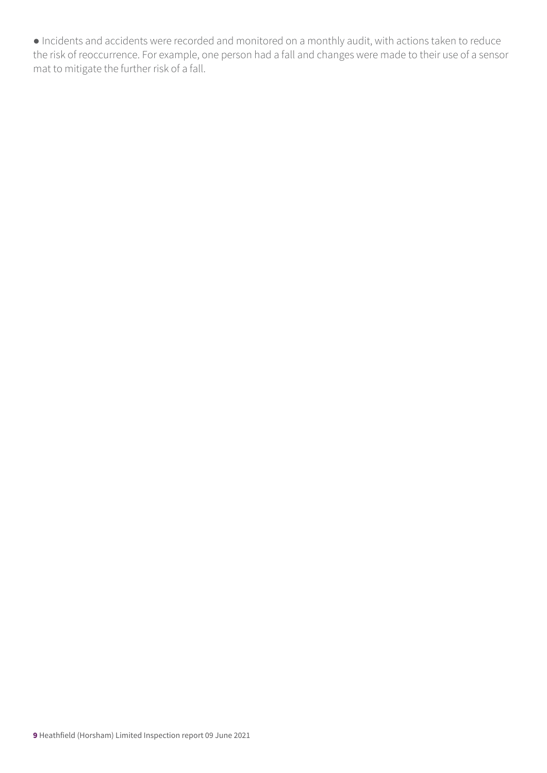● Incidents and accidents were recorded and monitored on a monthly audit, with actions taken to reduce the risk of reoccurrence. For example, one person had a fall and changes were made to their use of a sensor mat to mitigate the further risk of a fall.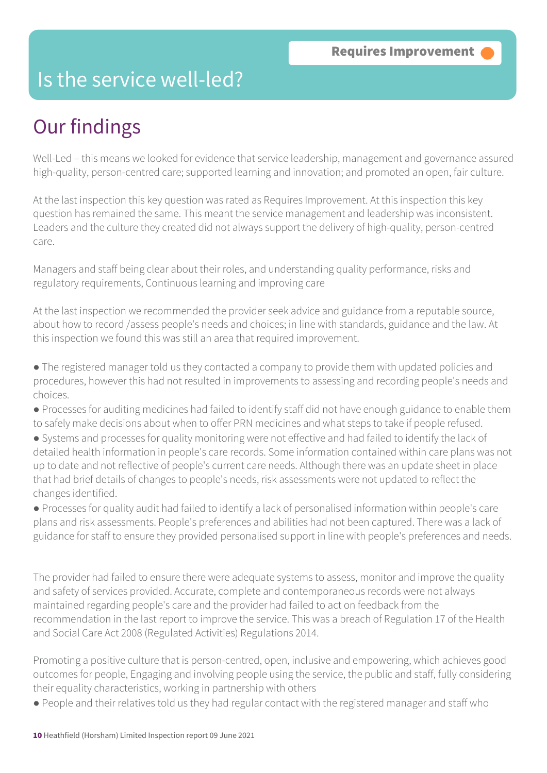## Is the service well-led?

# Our findings

Well-Led – this means we looked for evidence that service leadership, management and governance assured high-quality, person-centred care; supported learning and innovation; and promoted an open, fair culture.

At the last inspection this key question was rated as Requires Improvement. At this inspection this key question has remained the same. This meant the service management and leadership was inconsistent. Leaders and the culture they created did not always support the delivery of high-quality, person-centred care.

Managers and staff being clear about their roles, and understanding quality performance, risks and regulatory requirements, Continuous learning and improving care

At the last inspection we recommended the provider seek advice and guidance from a reputable source, about how to record /assess people's needs and choices; in line with standards, guidance and the law. At this inspection we found this was still an area that required improvement.

● The registered manager told us they contacted a company to provide them with updated policies and procedures, however this had not resulted in improvements to assessing and recording people's needs and choices.

- Processes for auditing medicines had failed to identify staff did not have enough guidance to enable them to safely make decisions about when to offer PRN medicines and what steps to take if people refused.
- Systems and processes for quality monitoring were not effective and had failed to identify the lack of detailed health information in people's care records. Some information contained within care plans was not up to date and not reflective of people's current care needs. Although there was an update sheet in place that had brief details of changes to people's needs, risk assessments were not updated to reflect the changes identified.

● Processes for quality audit had failed to identify a lack of personalised information within people's care plans and risk assessments. People's preferences and abilities had not been captured. There was a lack of guidance for staff to ensure they provided personalised support in line with people's preferences and needs.

The provider had failed to ensure there were adequate systems to assess, monitor and improve the quality and safety of services provided. Accurate, complete and contemporaneous records were not always maintained regarding people's care and the provider had failed to act on feedback from the recommendation in the last report to improve the service. This was a breach of Regulation 17 of the Health and Social Care Act 2008 (Regulated Activities) Regulations 2014.

Promoting a positive culture that is person-centred, open, inclusive and empowering, which achieves good outcomes for people, Engaging and involving people using the service, the public and staff, fully considering their equality characteristics, working in partnership with others

● People and their relatives told us they had regular contact with the registered manager and staff who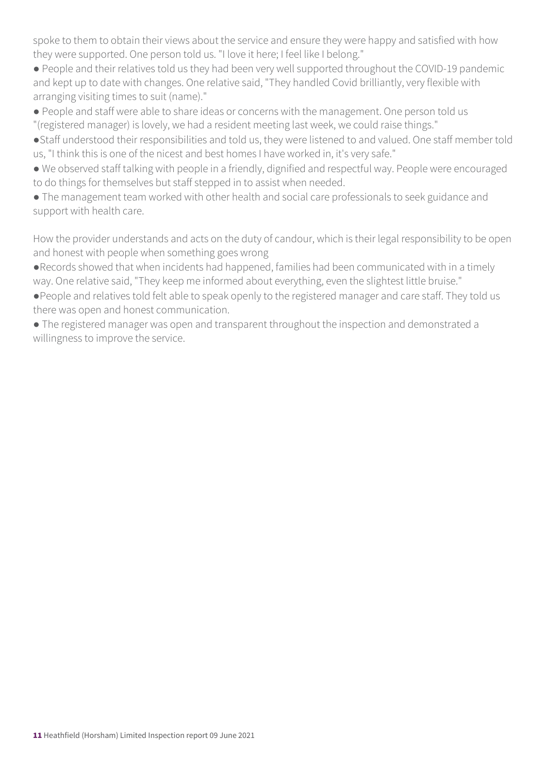spoke to them to obtain their views about the service and ensure they were happy and satisfied with how they were supported. One person told us. "I love it here; I feel like I belong."

● People and their relatives told us they had been very well supported throughout the COVID-19 pandemic and kept up to date with changes. One relative said, "They handled Covid brilliantly, very flexible with arranging visiting times to suit (name)."

● People and staff were able to share ideas or concerns with the management. One person told us "(registered manager) is lovely, we had a resident meeting last week, we could raise things."

●Staff understood their responsibilities and told us, they were listened to and valued. One staff member told us, "I think this is one of the nicest and best homes I have worked in, it's very safe."

● We observed staff talking with people in a friendly, dignified and respectful way. People were encouraged to do things for themselves but staff stepped in to assist when needed.

● The management team worked with other health and social care professionals to seek guidance and support with health care.

How the provider understands and acts on the duty of candour, which is their legal responsibility to be open and honest with people when something goes wrong

●Records showed that when incidents had happened, families had been communicated with in a timely way. One relative said, "They keep me informed about everything, even the slightest little bruise."

●People and relatives told felt able to speak openly to the registered manager and care staff. They told us there was open and honest communication.

● The registered manager was open and transparent throughout the inspection and demonstrated a willingness to improve the service.